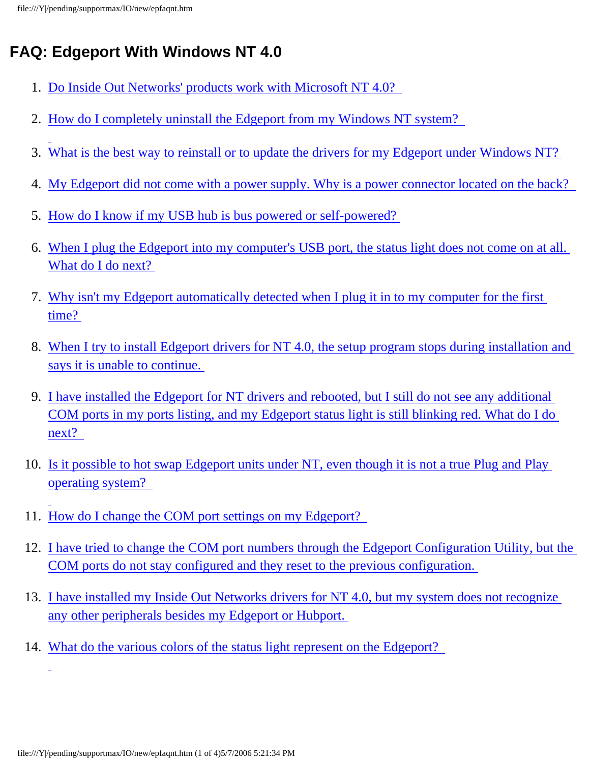# <span id="page-0-1"></span>**FAQ: Edgeport With Windows NT 4.0**

- 1. [Do Inside Out Networks' products work with Microsoft NT 4.0?](#page-0-0)
- 2. [How do I completely uninstall the Edgeport from my Windows NT system?](#page-1-0)
- 3. [What is the best way to reinstall or to update the drivers for my Edgeport under Windows NT?](#page-1-1)
- 4. [My Edgeport did not come with a power supply. Why is a power connector located on the back?](#page-1-2)
- 5. [How do I know if my USB hub is bus powered or self-powered?](#page-1-3)
- 6. [When I plug the Edgeport into my computer's USB port, the status light does not come on at all.](#page-1-4) [What do I do next?](#page-1-4)
- 7. [Why isn't my Edgeport automatically detected when I plug it in to my computer for the first](#page-2-0) [time?](#page-2-0)
- 8. [When I try to install Edgeport drivers for NT 4.0, the setup program stops during installation and](#page-2-1)  [says it is unable to continue.](#page-2-1)
- 9. [I have installed the Edgeport for NT drivers and rebooted, but I still do not see any additional](#page-2-2)  [COM ports in my ports listing, and my Edgeport status light is still blinking red. What do I do](#page-2-2)  [next?](#page-2-2)
- 10. [Is it possible to hot swap Edgeport units under NT, even though it is not a true Plug and Play](#page-2-3)  [operating system?](#page-2-3)
- 11. [How do I change the COM port settings on my Edgeport?](#page-2-4)
- 12. [I have tried to change the COM port numbers through the Edgeport Configuration Utility, but the](#page-2-5) [COM ports do not stay configured and they reset to the previous configuration.](#page-2-5)
- 13. [I have installed my Inside Out Networks drivers for NT 4.0, but my system does not recognize](#page-3-0)  [any other peripherals besides my Edgeport or Hubport.](#page-3-0)
- <span id="page-0-0"></span>14. [What do the various colors of the status light represent on the Edgeport?](#page-3-1)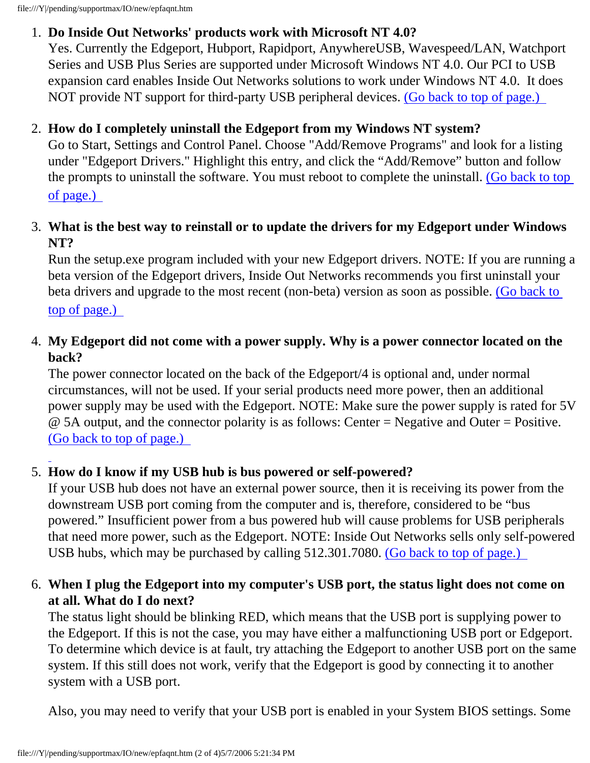file:///Y|/pending/supportmax/IO/new/epfaqnt.htm

#### 1. **Do Inside Out Networks' products work with Microsoft NT 4.0?**

Yes. Currently the Edgeport, Hubport, Rapidport, AnywhereUSB, Wavespeed/LAN, Watchport Series and USB Plus Series are supported under Microsoft Windows NT 4.0. Our PCI to USB expansion card enables Inside Out Networks solutions to work under Windows NT 4.0. It does NOT provide NT support for third-party USB peripheral devices. [\(Go back to top of page.\)](#page-0-1)

## <span id="page-1-0"></span>2. **How do I completely uninstall the Edgeport from my Windows NT system?**

Go to Start, Settings and Control Panel. Choose "Add/Remove Programs" and look for a listing under "Edgeport Drivers." Highlight this entry, and click the "Add/Remove" button and follow the prompts to uninstall the software. You must reboot to complete the uninstall. [\(Go back to top](#page-0-1) [of page.\)](#page-0-1) 

#### <span id="page-1-1"></span>3. **What is the best way to reinstall or to update the drivers for my Edgeport under Windows NT?**

Run the setup.exe program included with your new Edgeport drivers. NOTE: If you are running a beta version of the Edgeport drivers, Inside Out Networks recommends you first uninstall your beta drivers and upgrade to the most recent (non-beta) version as soon as possible. [\(Go back to](#page-0-1)  [top of page.\)](#page-0-1)

## <span id="page-1-2"></span>4. **My Edgeport did not come with a power supply. Why is a power connector located on the back?**

The power connector located on the back of the Edgeport/4 is optional and, under normal circumstances, will not be used. If your serial products need more power, then an additional power supply may be used with the Edgeport. NOTE: Make sure the power supply is rated for 5V @ 5A output, and the connector polarity is as follows: Center = Negative and Outer = Positive. [\(Go back to top of page.\)](#page-0-1) 

# <span id="page-1-3"></span>5. **How do I know if my USB hub is bus powered or self-powered?**

If your USB hub does not have an external power source, then it is receiving its power from the downstream USB port coming from the computer and is, therefore, considered to be "bus powered." Insufficient power from a bus powered hub will cause problems for USB peripherals that need more power, such as the Edgeport. NOTE: Inside Out Networks sells only self-powered USB hubs, which may be purchased by calling 512.301.7080. [\(Go back to top of page.\)](#page-0-1)

## <span id="page-1-4"></span>6. **When I plug the Edgeport into my computer's USB port, the status light does not come on at all. What do I do next?**

The status light should be blinking RED, which means that the USB port is supplying power to the Edgeport. If this is not the case, you may have either a malfunctioning USB port or Edgeport. To determine which device is at fault, try attaching the Edgeport to another USB port on the same system. If this still does not work, verify that the Edgeport is good by connecting it to another system with a USB port.

Also, you may need to verify that your USB port is enabled in your System BIOS settings. Some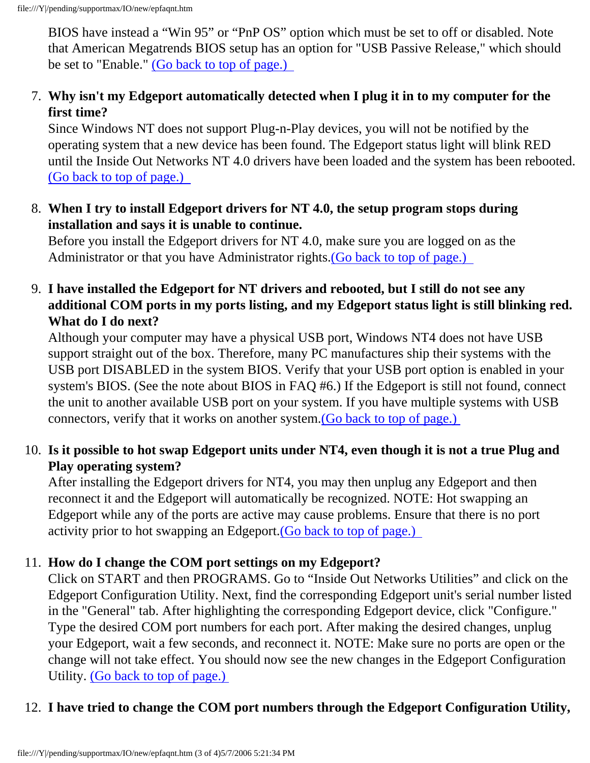BIOS have instead a "Win 95" or "PnP OS" option which must be set to off or disabled. Note that American Megatrends BIOS setup has an option for "USB Passive Release," which should be set to "Enable." [\(Go back to top of page.\)](#page-0-1)

## <span id="page-2-0"></span>7. **Why isn't my Edgeport automatically detected when I plug it in to my computer for the first time?**

Since Windows NT does not support Plug-n-Play devices, you will not be notified by the operating system that a new device has been found. The Edgeport status light will blink RED until the Inside Out Networks NT 4.0 drivers have been loaded and the system has been rebooted. [\(Go back to top of page.\)](#page-0-1) 

<span id="page-2-1"></span>8. **When I try to install Edgeport drivers for NT 4.0, the setup program stops during installation and says it is unable to continue.** 

Before you install the Edgeport drivers for NT 4.0, make sure you are logged on as the Administrator or that you have Administrator rights.[\(Go back to top of page.\)](#page-0-1)

#### <span id="page-2-2"></span>9. **I have installed the Edgeport for NT drivers and rebooted, but I still do not see any additional COM ports in my ports listing, and my Edgeport status light is still blinking red. What do I do next?**

Although your computer may have a physical USB port, Windows NT4 does not have USB support straight out of the box. Therefore, many PC manufactures ship their systems with the USB port DISABLED in the system BIOS. Verify that your USB port option is enabled in your system's BIOS. (See the note about BIOS in FAQ #6.) If the Edgeport is still not found, connect the unit to another available USB port on your system. If you have multiple systems with USB connectors, verify that it works on another system[.\(Go back to top of page.\)](#page-0-1)

## <span id="page-2-3"></span>10. **Is it possible to hot swap Edgeport units under NT4, even though it is not a true Plug and Play operating system?**

After installing the Edgeport drivers for NT4, you may then unplug any Edgeport and then reconnect it and the Edgeport will automatically be recognized. NOTE: Hot swapping an Edgeport while any of the ports are active may cause problems. Ensure that there is no port activity prior to hot swapping an Edgeport.[\(Go back to top of page.\)](#page-0-1)

# <span id="page-2-4"></span>11. **How do I change the COM port settings on my Edgeport?**

Click on START and then PROGRAMS. Go to "Inside Out Networks Utilities" and click on the Edgeport Configuration Utility. Next, find the corresponding Edgeport unit's serial number listed in the "General" tab. After highlighting the corresponding Edgeport device, click "Configure." Type the desired COM port numbers for each port. After making the desired changes, unplug your Edgeport, wait a few seconds, and reconnect it. NOTE: Make sure no ports are open or the change will not take effect. You should now see the new changes in the Edgeport Configuration Utility. [\(Go back to top of page.\)](#page-0-1)

# <span id="page-2-5"></span>12. **I have tried to change the COM port numbers through the Edgeport Configuration Utility,**